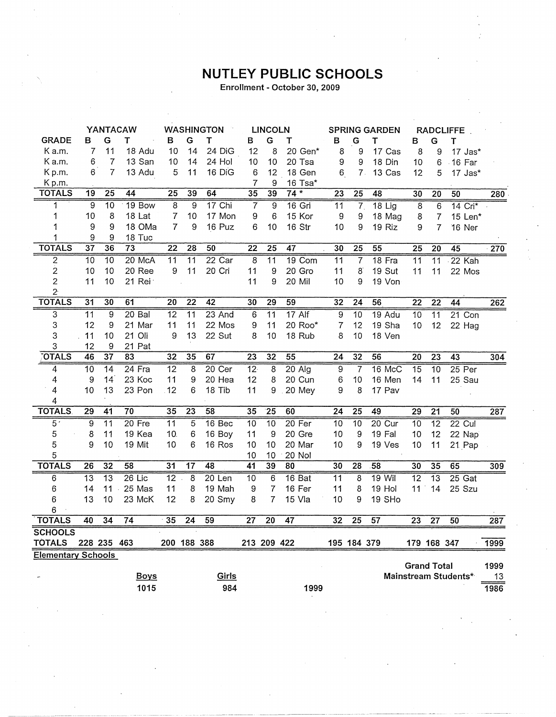## NUTLEY PUBLIC SCHOOLS

Enrollment - October 30, 2009

|                           |                 |                 | YANTACAW        |                  |                 | <b>WASHINGTON</b> |                  | <b>LINCOLN</b>  |                 |                  |                 | <b>SPRING GARDEN</b> |                    | <b>RADCLIFFE</b><br>$\, {\bf B}$<br>G<br>T |                      |      |  |
|---------------------------|-----------------|-----------------|-----------------|------------------|-----------------|-------------------|------------------|-----------------|-----------------|------------------|-----------------|----------------------|--------------------|--------------------------------------------|----------------------|------|--|
| <b>GRADE</b>              | в               | G               | т               | в                | ${\bf G}$       | T                 | в                | G               | Τ               | в                | G               | Т                    |                    |                                            |                      |      |  |
| K a.m.                    | $\overline{7}$  | 11              | 18 Adu          | 10               | 14              | 24 DiG            | 12               | 8               | 20 Gen*         | 8                | 9               | 17 Cas               | 8                  | 9                                          | 17 Jas*              |      |  |
| K a.m.                    | 6               | $\overline{7}$  | 13 San          | 10               | 14              | 24 Hol            | 10               | 10              | 20 Tsa          | 9                | 9               | 18 Din               | 10                 | 6                                          | $.16$ Far            |      |  |
| Kp.m.                     | 6               | $\overline{7}$  | 13 Adu          | 5                | 11              | 16 DiG            | 6                | 12              | 18 Gen          | 6                | 7.              | 13 Cas               | 12                 | 5                                          | 17 Jas*              |      |  |
| Kp.m.                     |                 |                 |                 |                  |                 |                   | $\overline{7}$   | 9               | 16 Tsa*         |                  |                 |                      |                    |                                            |                      |      |  |
| <b>TOTALS</b>             | 19              | 25              | 44              | 25               | 39              | 64                | $\overline{35}$  | 39              | $74*$           | 23               | $\overline{25}$ | 48                   | 30                 | 20                                         | 50                   | 280  |  |
| 1                         | $\overline{9}$  | $\overline{10}$ | $19$ Bow        | $\overline{8}$   | $\overline{9}$  | $17$ Chi          | $\overline{7}$   | 9               | $16$ Gri        | 11               | $\overline{7}$  | $18$ Lig             | $\overline{8}$     | $\overline{6}$                             | 14 Cri*              |      |  |
| 1                         | 10              | 8               | 18 Lat          | $\boldsymbol{7}$ | 10              | 17 Mon            | 9                | $\,6$           | 15 Kor          | 9                | 9               | 18 Mag               | 8                  | 7                                          | 15 Len*              |      |  |
| 1                         | 9               | 9               | 18 OMa          | $\overline{7}$   | 9               | 16 Puz            | 6                | 10              | 16 Str          | 10               | 9               | 19 Riz               | 9                  | $\overline{7}$                             | 16 Ner               |      |  |
| 1                         | 9               | 9               | 18 Tuc          |                  |                 |                   |                  |                 |                 |                  |                 |                      |                    |                                            |                      |      |  |
| <b>TOTALS</b>             | $\overline{37}$ | 36              | $\overline{73}$ | 22               | $\overline{28}$ | 50                | $\overline{22}$  | $\overline{25}$ | 47              | 30               | 25              | 55                   | 25                 | 20                                         | 45                   | 270  |  |
| 2                         | 10              | $\overline{10}$ | 20 McA          | 11               | $\overline{11}$ | $22$ Car          | $\overline{8}$   | $\overline{11}$ | $19$ Com        | $\overline{11}$  | $\overline{7}$  | 18 Fra               | $\overline{11}$    | $\overline{11}$                            | 22 Kah               |      |  |
| $\overline{2}$            | 10              | 10              | 20 Ree          | $\boldsymbol{9}$ | 11              | 20 Cri            | 11               | 9               | 20 Gro          | 11               | 8               | 19 Sut               | 11                 | 11                                         | 22 Mos               |      |  |
| $\overline{2}$            | 11              | 10              | 21 Rei:         |                  |                 |                   | 11               | 9               | 20 Mil          | 10               | 9               | 19 Von               |                    |                                            |                      |      |  |
| 2 <sup>5</sup>            |                 |                 |                 |                  |                 |                   |                  |                 |                 |                  |                 |                      |                    |                                            |                      |      |  |
| <b>TOTALS</b>             | $\overline{31}$ | $\overline{30}$ | 61              | $\overline{20}$  | $\overline{22}$ | 42                | $\overline{30}$  | $\overline{29}$ | 59              | 32               | $\overline{24}$ | $\overline{56}$      | $\overline{22}$    | $\overline{22}$                            | 44                   | 262  |  |
| $\overline{3}$            | $\overline{11}$ | $\overline{9}$  | $20$ Bal        | $\overline{12}$  | $\overline{11}$ | $23$ And          | $\overline{6}$   | $\overline{11}$ | $17$ Alf        | $\overline{9}$   | 10              | $19$ Adu             | 10                 | $\overline{11}$                            | $21$ Con             |      |  |
| 3                         | 12              | 9               | 21 Mar          | 11               | 11              | 22 Mos            | 9                | 11              | 20 Roo*         | $\boldsymbol{7}$ | 12              | 19 Sha               | 10                 | 12                                         | 22 Hag               |      |  |
| 3                         | 11              | 10              | 21 Oli          | 9                | 13              | 22 Sut            | 8                | 10              | 18 Rub          | 8                | 10              | 18 Ven               |                    |                                            |                      |      |  |
| 3                         | 12              | 9               | 21 Pat          |                  |                 |                   |                  |                 |                 |                  |                 |                      |                    |                                            |                      |      |  |
| <b>OTALS</b>              | 46              | $\overline{37}$ | 83              | 32               | 35              | 67                | 23               | $\overline{32}$ | $\overline{55}$ | 24               | 32              | 56                   | 20                 | $\overline{23}$                            | 43                   | 304  |  |
| 4                         | 10              | 14              | 24 Fra          | 12               | 8               | 20 Cer            | 12 <sup>5</sup>  | 8               | $20$ Alg        | 9                | $\overline{7}$  | $16$ McC             | $\overline{15}$    | 10                                         | $25$ Per             |      |  |
| 4                         | 9               | 14              | 23 Koc          | 11               | 9               | 20 Hea            | 12               | 8               | 20 Cun          | 6                | 10              | 16 Men               | 14                 | 11                                         | 25 Sau               |      |  |
| 4                         | 10              | 13              | 23 Pon          | .12              | 6               | 18 Tib            | 11               | 9               | 20 Mey          | 9                | 8               | 17 Pav               |                    |                                            |                      |      |  |
| 4                         |                 |                 |                 |                  |                 |                   |                  |                 |                 |                  |                 |                      |                    |                                            |                      |      |  |
| <b>TOTALS</b>             | 29              | 41              | 70              | 35               | $\overline{23}$ | 58                | 35               | $\overline{25}$ | 60              | 24               | 25              | 49                   | 29                 | 21                                         | 50                   | 287  |  |
| $\overline{5}$            | $\overline{9}$  | $\overline{11}$ | $20$ Fre        | $\overline{11}$  | 5               | 16 <sub>Bec</sub> | 10               | $\overline{10}$ | $20$ Fer        | $\overline{10}$  | $\overline{10}$ | $20$ Cur             | 10                 | $\overline{12}$                            | $22$ Cul             |      |  |
| 5                         | 8               | 11              | 19 Kea          | 10.              | 6               | 16 Boy            | 11               | 9               | 20 Gre          | 10               | 9               | 19 Fal               | 10                 | 12                                         | 22 Nap               |      |  |
| 5                         | 9               | 10              | 19 Mit          | 10               | 6               | 16 Ros            | 10               | 10              | 20 Mar          | 10               | 9               | 19 Ves               | 10                 | 11                                         | 21 Pap               |      |  |
| 5                         |                 |                 |                 |                  |                 |                   | 10               | 10              | 20 Nol          |                  |                 |                      |                    |                                            |                      |      |  |
| <b>TOTALS</b>             | $\overline{26}$ | 32              | $\overline{58}$ | 31               | $\overline{17}$ | 48                | $\overline{41}$  | 39              | $\overline{80}$ | 30               | $\overline{28}$ | $\overline{58}$      | 30                 | 35                                         | 65                   | 309  |  |
| 6                         | $\overline{13}$ | $\overline{13}$ | $26$ Lic        | $\overline{12}$  | $\overline{8}$  | $20$ Len          | $\overline{10}$  | $6\phantom{1}$  | 16 Bat          | $\overline{11}$  | $\overline{8}$  | $19$ Wil             | $\overline{12}$    | $\overline{13}$                            | $25$ Gat             |      |  |
| 6                         | 14              | 11              | 25 Mas          | 11               | 8               | 19 Mah            | $\boldsymbol{9}$ | $\overline{7}$  | 16 Fer          | 11               | 8               | 19 Hol               | 11                 | 14                                         | 25 Szu               |      |  |
| 6                         | 13              | 10              | 23 McK          | 12               | 8               | 20 Smy            | 8                | 7               | 15 Vla          | 10               | 9               | 19 SHo               |                    |                                            |                      |      |  |
| 6                         |                 |                 |                 |                  |                 |                   |                  |                 |                 |                  |                 |                      |                    |                                            |                      |      |  |
| <b>TOTALS</b>             | 40              | 34              | $\overline{74}$ | $\overline{35}$  | $\overline{24}$ | 59                | $\overline{27}$  | $\overline{20}$ | 47              | 32               | $\overline{25}$ | 57                   | $\overline{23}$    | $\overline{27}$                            | 50                   | 287  |  |
| <b>SCHOOLS</b>            |                 |                 |                 |                  |                 |                   |                  |                 |                 |                  |                 |                      |                    |                                            |                      |      |  |
| <b>TOTALS</b>             |                 | 228 235 463     |                 |                  | 200 188 388     |                   |                  | 213 209 422     |                 |                  | 195 184 379     |                      |                    | 179 168 347                                |                      | 1999 |  |
| <b>Elementary Schools</b> |                 |                 |                 |                  |                 |                   |                  |                 |                 |                  |                 |                      |                    |                                            |                      |      |  |
|                           |                 |                 |                 |                  |                 |                   |                  |                 |                 |                  |                 |                      | <b>Grand Total</b> |                                            |                      | 1999 |  |
|                           |                 |                 | <b>Boys</b>     |                  |                 | Girls             |                  |                 |                 |                  |                 |                      |                    |                                            | Mainstream Students* | 13   |  |
|                           |                 |                 | 1015            |                  |                 | 984               |                  |                 | 1999            |                  |                 |                      |                    |                                            |                      | 1986 |  |